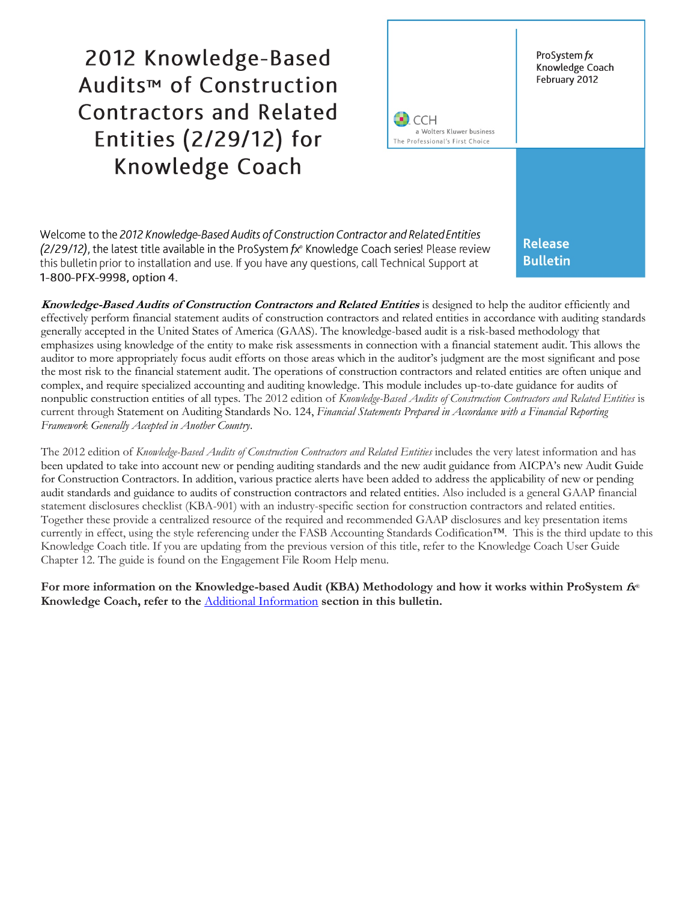2012 Knowledge-Based Audits<sup>™</sup> of Construction **Contractors and Related** Entities (2/29/12) for Knowledge Coach



Welcome to the 2012 Knowledge-Based Audits of Construction Contractor and Related Entities (2/29/12), the latest title available in the ProSystem fx® Knowledge Coach series! Please review this bulletin prior to installation and use. If you have any questions, call Technical Support at 1-800-PFX-9998, option 4.

**Release Bulletin** 

**Knowledge-Based Audits of Construction Contractors and Related Entities** is designed to help the auditor efficiently and effectively perform financial statement audits of construction contractors and related entities in accordance with auditing standards generally accepted in the United States of America (GAAS). The knowledge-based audit is a risk-based methodology that emphasizes using knowledge of the entity to make risk assessments in connection with a financial statement audit. This allows the auditor to more appropriately focus audit efforts on those areas which in the auditor's judgment are the most significant and pose the most risk to the financial statement audit. The operations of construction contractors and related entities are often unique and complex, and require specialized accounting and auditing knowledge. This module includes up-to-date guidance for audits of nonpublic construction entities of all types. The 2012 edition of *Knowledge-Based Audits of Construction Contractors and Related Entities* is current through Statement on Auditing Standards No. 124, *Financial Statements Prepared in Accordance with a Financial Reporting Framework Generally Accepted in Another Country*.

The 2012 edition of *Knowledge-Based Audits of Construction Contractors and Related Entities* includes the very latest information and has been updated to take into account new or pending auditing standards and the new audit guidance from AICPA's new Audit Guide for Construction Contractors. In addition, various practice alerts have been added to address the applicability of new or pending audit standards and guidance to audits of construction contractors and related entities. Also included is a general GAAP financial statement disclosures checklist (KBA-901) with an industry-specific section for construction contractors and related entities. Together these provide a centralized resource of the required and recommended GAAP disclosures and key presentation items currently in effect, using the style referencing under the FASB Accounting Standards Codification™. This is the third update to this Knowledge Coach title. If you are updating from the previous version of this title, refer to the Knowledge Coach User Guide Chapter 12. The guide is found on the Engagement File Room Help menu.

**For more information on the Knowledge-based Audit (KBA) Methodology and how it works within ProSystem fx**® **Knowledge Coach, refer to the** [Additional Information](#page-4-0) **section in this bulletin.**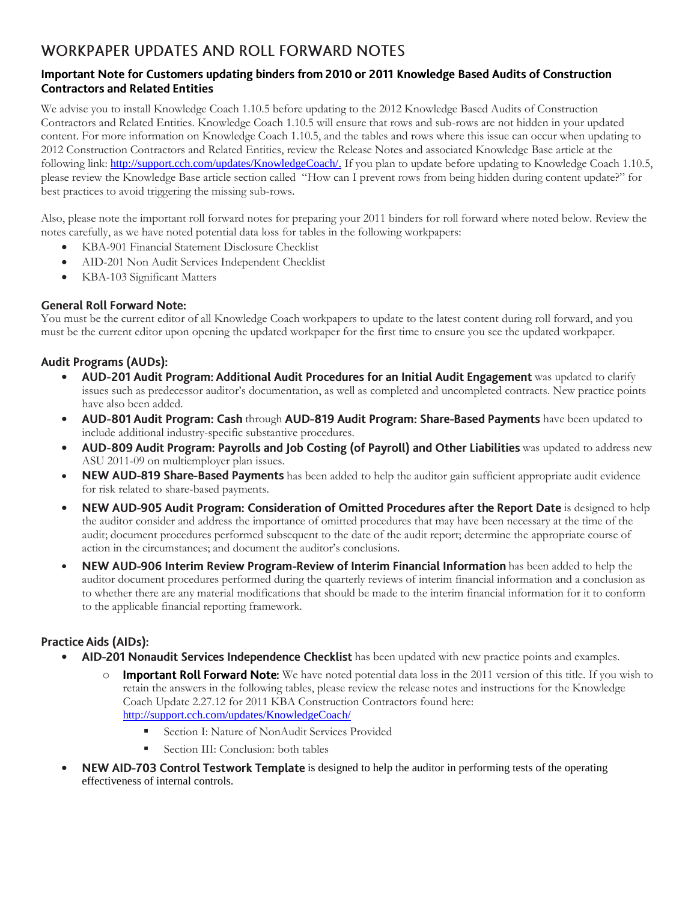# **WORKPAPER UPDATES AND ROLL FORWARD NOTES**

### Important Note for Customers updating binders from 2010 or 2011 Knowledge Based Audits of Construction **Contractors and Related Entities**

We advise you to install Knowledge Coach 1.10.5 before updating to the 2012 Knowledge Based Audits of Construction Contractors and Related Entities. Knowledge Coach 1.10.5 will ensure that rows and sub-rows are not hidden in your updated content. For more information on Knowledge Coach 1.10.5, and the tables and rows where this issue can occur when updating to 2012 Construction Contractors and Related Entities, review the Release Notes and associated Knowledge Base article at the following link: [http://support.cch.com/updates/KnowledgeCoach/.](http://support.cch.com/updates/KnowledgeCoach/) If you plan to update before updating to Knowledge Coach 1.10.5, please review the Knowledge Base article section called "How can I prevent rows from being hidden during content update?" for best practices to avoid triggering the missing sub-rows.

Also, please note the important roll forward notes for preparing your 2011 binders for roll forward where noted below. Review the notes carefully, as we have noted potential data loss for tables in the following workpapers:

- KBA-901 Financial Statement Disclosure Checklist
- AID-201 Non Audit Services Independent Checklist
- KBA-103 Significant Matters

### **General Roll Forward Note:**

You must be the current editor of all Knowledge Coach workpapers to update to the latest content during roll forward, and you must be the current editor upon opening the updated workpaper for the first time to ensure you see the updated workpaper.

# **Audit Programs (AUDs):**

- AUD-201 Audit Program: Additional Audit Procedures for an Initial Audit Engagement was updated to clarify issues such as predecessor auditor's documentation, as well as completed and uncompleted contracts. New practice points have also been added.
- AUD-801 Audit Program: Cash through AUD-819 Audit Program: Share-Based Payments have been updated to include additional industry-specific substantive procedures.
- AUD-809 Audit Program: Payrolls and Job Costing (of Payroll) and Other Liabilities was updated to address new ASU 2011-09 on multiemployer plan issues.
- NEW AUD-819 Share-Based Payments has been added to help the auditor gain sufficient appropriate audit evidence for risk related to share-based payments.
- NEW AUD-905 Audit Program: Consideration of Omitted Procedures after the Report Date is designed to help the auditor consider and address the importance of omitted procedures that may have been necessary at the time of the audit; document procedures performed subsequent to the date of the audit report; determine the appropriate course of action in the circumstances; and document the auditor's conclusions.
- NEW AUD-906 Interim Review Program-Review of Interim Financial Information has been added to help the auditor document procedures performed during the quarterly reviews of interim financial information and a conclusion as to whether there are any material modifications that should be made to the interim financial information for it to conform to the applicable financial reporting framework.

# **Practice Aids (AIDs):**

- AID-201 Nonaudit Services Independence Checklist has been updated with new practice points and examples.
	- $\circ$  Important Roll Forward Note: We have noted potential data loss in the 2011 version of this title. If you wish to retain the answers in the following tables, please review the release notes and instructions for the Knowledge Coach Update 2.27.12 for 2011 KBA Construction Contractors found here: <http://support.cch.com/updates/KnowledgeCoach/>
		- Section I: Nature of NonAudit Services Provided
			- Section III: Conclusion: both tables
- NEW AID-703 Control Testwork Template is designed to help the auditor in performing tests of the operating effectiveness of internal controls.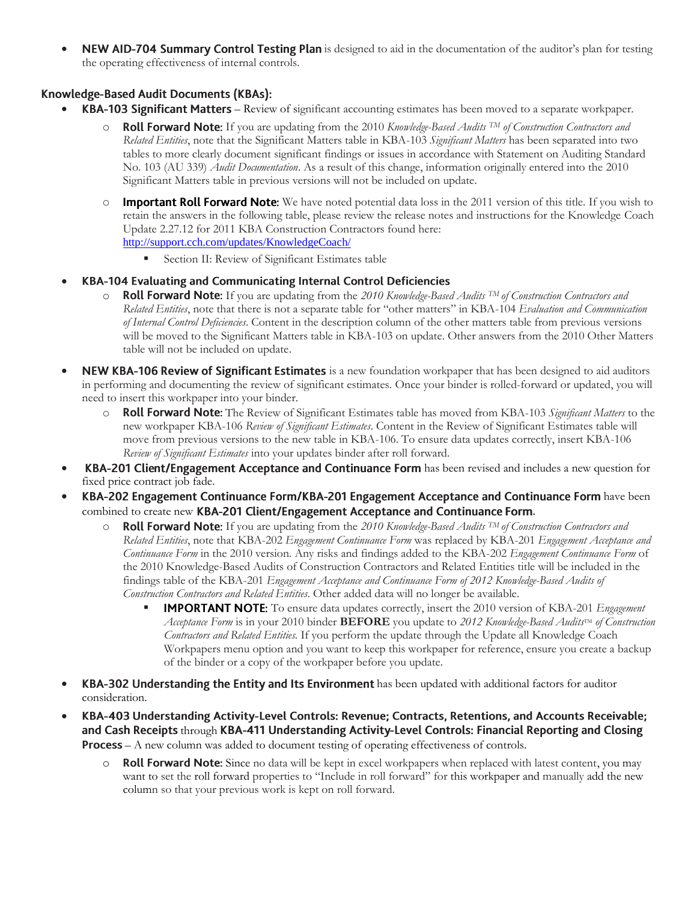NEW AID-704 Summary Control Testing Plan is designed to aid in the documentation of the auditor's plan for testing the operating effectiveness of internal controls.

### Knowledge-Based Audit Documents (KBAs):

- KBA-103 Significant Matters Review of significant accounting estimates has been moved to a separate workpaper.
	- o If you are updating from the 2010 *Knowledge-Based Audits TM of Construction Contractors and Related Entities*, note that the Significant Matters table in KBA-103 *Significant Matters* has been separated into two tables to more clearly document significant findings or issues in accordance with Statement on Auditing Standard No. 103 (AU 339) *Audit Documentation*. As a result of this change, information originally entered into the 2010 Significant Matters table in previous versions will not be included on update.
	- $\circ$  Important Roll Forward Note: We have noted potential data loss in the 2011 version of this title. If you wish to retain the answers in the following table, please review the release notes and instructions for the Knowledge Coach Update 2.27.12 for 2011 KBA Construction Contractors found here: <http://support.cch.com/updates/KnowledgeCoach/>
		- Section II: Review of Significant Estimates table
- $\bullet$ KBA-104 Evaluating and Communicating Internal Control Deficiencies
	- o If you are updating from the *2010 Knowledge-Based Audits TM of Construction Contractors and Related Entities*, note that there is not a separate table for "other matters" in KBA-104 *Evaluation and Communication of Internal Control Deficiencies*. Content in the description column of the other matters table from previous versions will be moved to the Significant Matters table in KBA-103 on update. Other answers from the 2010 Other Matters table will not be included on update.
- NEW KBA-106 Review of Significant Estimates is a new foundation workpaper that has been designed to aid auditors in performing and documenting the review of significant estimates. Once your binder is rolled-forward or updated, you will need to insert this workpaper into your binder.
	- o The Review of Significant Estimates table has moved from KBA-103 *Significant Matters* to the new workpaper KBA-106 *Review of Significant Estimates*. Content in the Review of Significant Estimates table will move from previous versions to the new table in KBA-106. To ensure data updates correctly, insert KBA-106 *Review of Significant Estimates* into your updates binder after roll forward.
- KBA-201 Client/Engagement Acceptance and Continuance Form has been revised and includes a new question for fixed price contract job fade.
- KBA-202 Engagement Continuance Form/KBA-201 Engagement Acceptance and Continuance Form have been combined to create new KBA-201 Client/Engagement Acceptance and Continuance Form.
	- $\circ$  **Roll Forward Note:** If you are updating from the 2010 *Knowledge-Based Audits* <sup>TM</sup> of Construction Contractors and *Related Entities*, note that KBA-202 *Engagement Continuance Form* was replaced by KBA-201 *Engagement Acceptance and Continuance Form* in the 2010 version*.* Any risks and findings added to the KBA-202 *Engagement Continuance Form* of the 2010 Knowledge-Based Audits of Construction Contractors and Related Entities title will be included in the findings table of the KBA-201 *Engagement Acceptance and Continuance Form of 2012 Knowledge-Based Audits of Construction Contractors and Related Entities*. Other added data will no longer be available.
		- **IMPORTANT NOTE:** To ensure data updates correctly, insert the 2010 version of KBA-201 *Engagement Acceptance Form* is in your 2010 binder **BEFORE** you update to 2012 *Knowledge-Based Audits*TM of Construction *Contractors and Related Entities.* If you perform the update through the Update all Knowledge Coach Workpapers menu option and you want to keep this workpaper for reference, ensure you create a backup of the binder or a copy of the workpaper before you update.
- KBA-302 Understanding the Entity and Its Environment has been updated with additional factors for auditor consideration.
- $\bullet$ KBA-403 Understanding Activity-Level Controls: Revenue; Contracts, Retentions, and Accounts Receivable; and Cash Receipts through KBA-411 Understanding Activity-Level Controls: Financial Reporting and Closing **Process** – A new column was added to document testing of operating effectiveness of controls.
	- **Roll Forward Note:** Since no data will be kept in excel workpapers when replaced with latest content, you may want to set the roll forward properties to "Include in roll forward" for this workpaper and manually add the new column so that your previous work is kept on roll forward.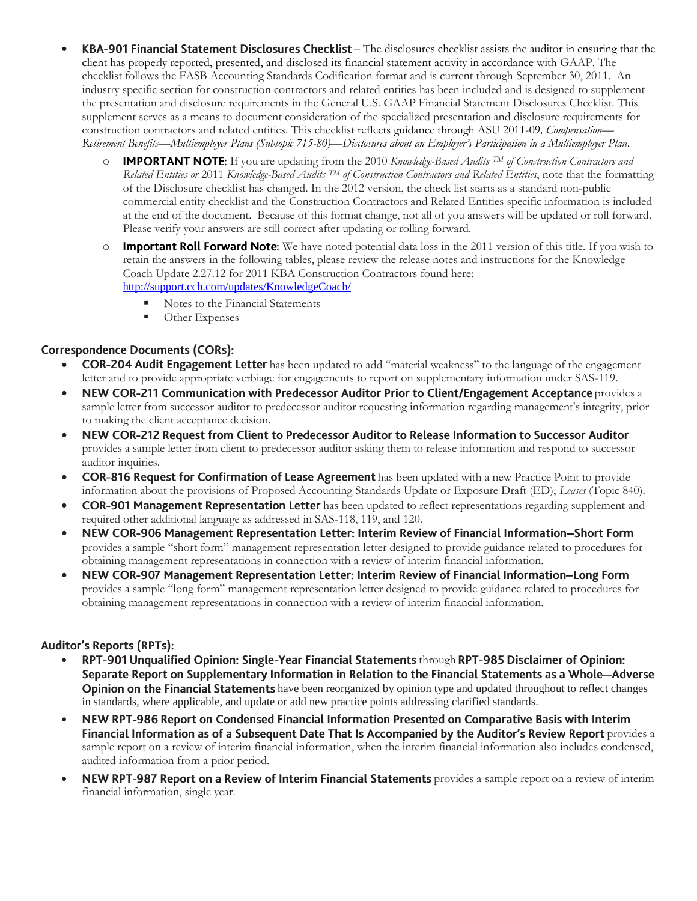- KBA-901 Financial Statement Disclosures Checklist The disclosures checklist assists the auditor in ensuring that the client has properly reported, presented, and disclosed its financial statement activity in accordance with GAAP. The checklist follows the FASB Accounting Standards Codification format and is current through September 30, 2011. An industry specific section for construction contractors and related entities has been included and is designed to supplement the presentation and disclosure requirements in the General U.S. GAAP Financial Statement Disclosures Checklist. This supplement serves as a means to document consideration of the specialized presentation and disclosure requirements for construction contractors and related entities. This checklist reflects guidance throug[h ASU 2011-09](http://www.accountingresearchmanager.com/wk/rm.nsf/0/28B67E4B19884D06862578B10056507D?OpenDocument#_blank)*[, Compensation](http://www.accountingresearchmanager.com/wk/rm.nsf/0/28B67E4B19884D06862578B10056507D?OpenDocument#_blank)— Retirement Benefits—[Multiemployer Plans \(Subtopic 715-80\)](http://www.accountingresearchmanager.com/wk/rm.nsf/0/28B67E4B19884D06862578B10056507D?OpenDocument#_blank)—Disclosures about an Employer's Participation in a Multiemployer Plan*.
	- o If you are updating from the 2010 *Knowledge-Based Audits TM of Construction Contractors and Related Entities or* 2011 *Knowledge-Based Audits TM of Construction Contractors and Related Entities*, note that the formatting of the Disclosure checklist has changed. In the 2012 version, the check list starts as a standard non-public commercial entity checklist and the Construction Contractors and Related Entities specific information is included at the end of the document. Because of this format change, not all of you answers will be updated or roll forward. Please verify your answers are still correct after updating or rolling forward.
	- $\circ$  Important Roll Forward Note: We have noted potential data loss in the 2011 version of this title. If you wish to retain the answers in the following tables, please review the release notes and instructions for the Knowledge Coach Update 2.27.12 for 2011 KBA Construction Contractors found here: <http://support.cch.com/updates/KnowledgeCoach/>
		- Notes to the Financial Statements
		- **•** Other Expenses

# **Correspondence Documents (CORs):**

- **COR-204 Audit Engagement Letter** has been updated to add "material weakness" to the language of the engagement letter and to provide appropriate verbiage for engagements to report on supplementary information under SAS-119.
- NEW COR-211 Communication with Predecessor Auditor Prior to Client/Engagement Acceptance provides a sample letter from successor auditor to predecessor auditor requesting information regarding management's integrity, prior to making the client acceptance decision.
- NEW COR-212 Request from Client to Predecessor Auditor to Release Information to Successor Auditor  $\bullet$ provides a sample letter from client to predecessor auditor asking them to release information and respond to successor auditor inquiries.
- COR-816 Request for Confirmation of Lease Agreement has been updated with a new Practice Point to provide information about the provisions of Proposed Accounting Standards Update or Exposure Draft (ED), *Leases* (Topic 840).
- COR-901 Management Representation Letter has been updated to reflect representations regarding supplement and required other additional language as addressed in SAS-118, 119, and 120.
- NEW COR-906 Management Representation Letter: Interim Review of Financial Information-Short Form provides a sample "short form" management representation letter designed to provide guidance related to procedures for obtaining management representations in connection with a review of interim financial information.
- NEW COR-907 Management Representation Letter: Interim Review of Financial Information-Long Form provides a sample "long form" management representation letter designed to provide guidance related to procedures for obtaining management representations in connection with a review of interim financial information.

# **Auditor's Reports (RPTs):**

- RPT-901 Unqualified Opinion: Single-Year Financial Statements through RPT-985 Disclaimer of Opinion: Separate Report on Supplementary Information in Relation to the Financial Statements as a Whole-Adverse **Opinion on the Financial Statements** have been reorganized by opinion type and updated throughout to reflect changes in standards, where applicable, and update or add new practice points addressing clarified standards.
- NEW RPT-986 Report on Condensed Financial Information Presented on Comparative Basis with Interim  $\bullet$ Financial Information as of a Subsequent Date That Is Accompanied by the Auditor's Review Report provides a sample report on a review of interim financial information, when the interim financial information also includes condensed, audited information from a prior period.
- NEW RPT-987 Report on a Review of Interim Financial Statements provides a sample report on a review of interim financial information, single year.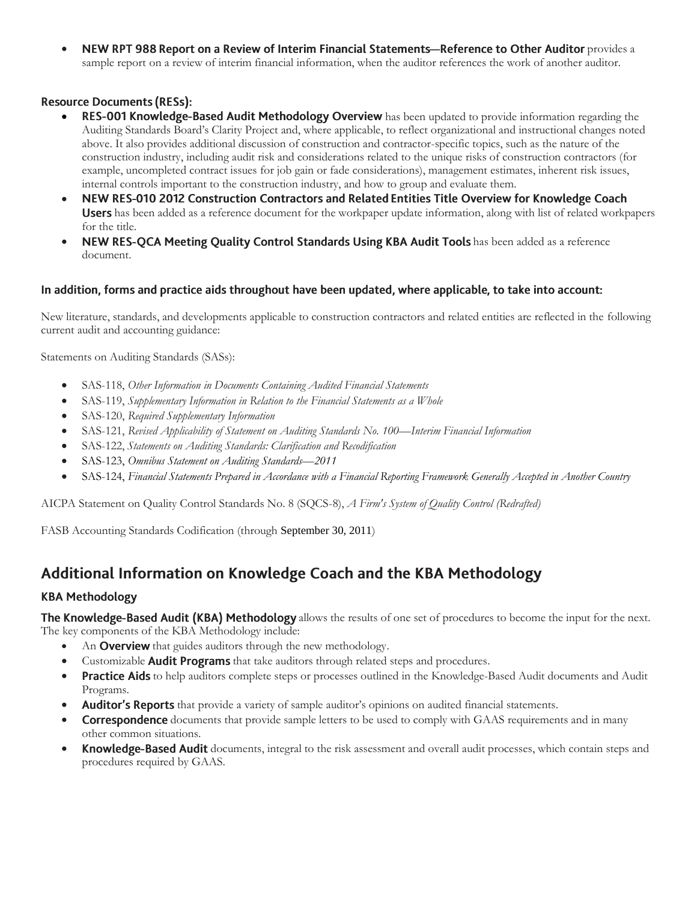• NEW RPT 988 Report on a Review of Interim Financial Statements-Reference to Other Auditor provides a sample report on a review of interim financial information, when the auditor references the work of another auditor.

### **Resource Documents (RESs):**

- RES-001 Knowledge-Based Audit Methodology Overview has been updated to provide information regarding the Auditing Standards Board's Clarity Project and, where applicable, to reflect organizational and instructional changes noted above. It also provides additional discussion of construction and contractor-specific topics, such as the nature of the construction industry, including audit risk and considerations related to the unique risks of construction contractors (for example, uncompleted contract issues for job gain or fade considerations), management estimates, inherent risk issues, internal controls important to the construction industry, and how to group and evaluate them.
- $\bullet$ NEW RES-010 2012 Construction Contractors and Related Entities Title Overview for Knowledge Coach Users has been added as a reference document for the workpaper update information, along with list of related workpapers for the title.
- NEW RES-QCA Meeting Quality Control Standards Using KBA Audit Tools has been added as a reference document.

### In addition, forms and practice aids throughout have been updated, where applicable, to take into account:

New literature, standards, and developments applicable to construction contractors and related entities are reflected in the following current audit and accounting guidance:

Statements on Auditing Standards (SASs):

- SAS-118, *Other Information in Documents Containing Audited Financial Statements*
- SAS-119, *Supplementary Information in Relation to the Financial Statements as a Whole*
- SAS-120, *Required Supplementary Information*
- SAS-121, *Revised Applicability of Statement on Auditing Standards No. 100—Interim Financial Information*
- SAS-122, *Statements on Auditing Standards: Clarification and Recodification*
- SAS-123, *Omnibus Statement on Auditing Standards—2011*
- SAS-124, *Financial Statements Prepared in Accordance with a Financial Reporting Framework Generally Accepted in Another Country*

AICPA Statement on Quality Control Standards No. 8 (SQCS-8), *A Firm's System of Quality Control (Redrafted)*

<span id="page-4-0"></span>FASB Accounting Standards Codification (through September 30, 2011)

# Additional Information on Knowledge Coach and the KBA Methodology

# **KBA Methodology**

The Knowledge-Based Audit (KBA) Methodology allows the results of one set of procedures to become the input for the next. The key components of the KBA Methodology include:

- An **Overview** that guides auditors through the new methodology.
- Customizable **Audit Programs** that take auditors through related steps and procedures.
- **Practice Aids** to help auditors complete steps or processes outlined in the Knowledge-Based Audit documents and Audit Programs.
- Auditor's Reports that provide a variety of sample auditor's opinions on audited financial statements.
- **Correspondence** documents that provide sample letters to be used to comply with GAAS requirements and in many other common situations.
- Knowledge-Based Audit documents, integral to the risk assessment and overall audit processes, which contain steps and procedures required by GAAS.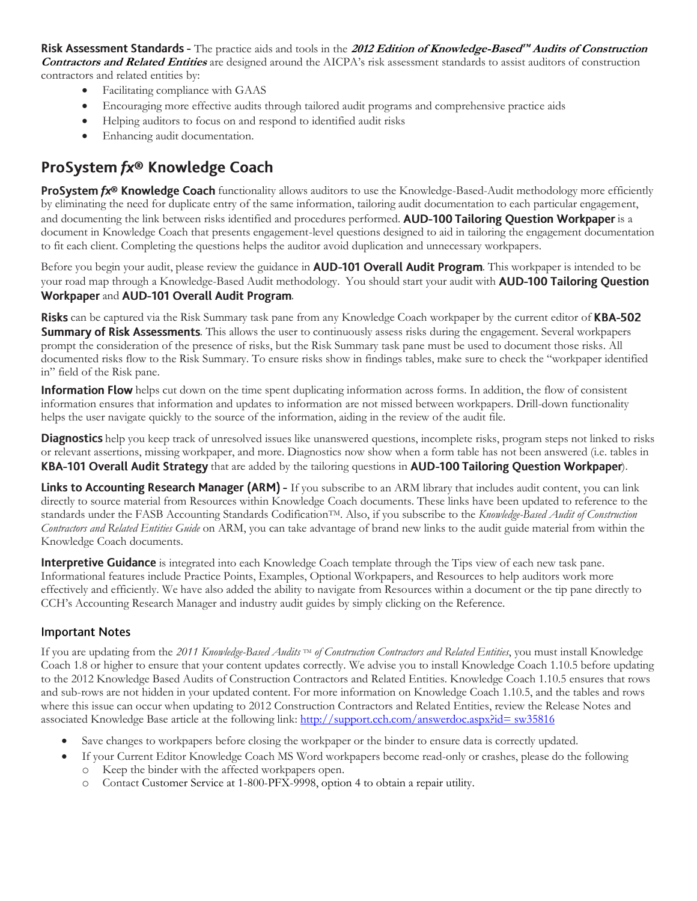Risk Assessment Standards - The practice aids and tools in the 2012 Edition of Knowledge-Based™ Audits of Construction **Contractors and Related Entities** are designed around the AICPA's risk assessment standards to assist auditors of construction contractors and related entities by:

- Facilitating compliance with GAAS
- Encouraging more effective audits through tailored audit programs and comprehensive practice aids
- Helping auditors to focus on and respond to identified audit risks
- Enhancing audit documentation.

# ProSystem fx® Knowledge Coach

**ProSystem fx<sup>®</sup> Knowledge Coach** functionality allows auditors to use the Knowledge-Based-Audit methodology more efficiently by eliminating the need for duplicate entry of the same information, tailoring audit documentation to each particular engagement, and documenting the link between risks identified and procedures performed. AUD-100 Tailoring Question Workpaper is a document in Knowledge Coach that presents engagement-level questions designed to aid in tailoring the engagement documentation to fit each client. Completing the questions helps the auditor avoid duplication and unnecessary workpapers.

Before you begin your audit, please review the guidance in **AUD-101 Overall Audit Program**. This workpaper is intended to be your road map through a Knowledge-Based Audit methodology. You should start your audit with **AUD-100 Tailoring Question** Workpaper and AUD-101 Overall Audit Program.

Risks can be captured via the Risk Summary task pane from any Knowledge Coach workpaper by the current editor of KBA-502 **Summary of Risk Assessments**. This allows the user to continuously assess risks during the engagement. Several workpapers prompt the consideration of the presence of risks, but the Risk Summary task pane must be used to document those risks. All documented risks flow to the Risk Summary. To ensure risks show in findings tables, make sure to check the "workpaper identified in" field of the Risk pane.

**Information Flow** helps cut down on the time spent duplicating information across forms. In addition, the flow of consistent information ensures that information and updates to information are not missed between workpapers. Drill-down functionality helps the user navigate quickly to the source of the information, aiding in the review of the audit file.

**Diagnostics** help you keep track of unresolved issues like unanswered questions, incomplete risks, program steps not linked to risks or relevant assertions, missing workpaper, and more. Diagnostics now show when a form table has not been answered (i.e. tables in KBA-101 Overall Audit Strategy that are added by the tailoring questions in AUD-100 Tailoring Question Workpaper).

Links to Accounting Research Manager (ARM) - If you subscribe to an ARM library that includes audit content, you can link directly to source material from Resources within Knowledge Coach documents. These links have been updated to reference to the standards under the FASB Accounting Standards CodificationTM. Also, if you subscribe to the *Knowledge-Based Audit of Construction Contractors and Related Entities Guide* on ARM, you can take advantage of brand new links to the audit guide material from within the Knowledge Coach documents.

Interpretive Guidance is integrated into each Knowledge Coach template through the Tips view of each new task pane. Informational features include Practice Points, Examples, Optional Workpapers, and Resources to help auditors work more effectively and efficiently. We have also added the ability to navigate from Resources within a document or the tip pane directly to CCH's Accounting Research Manager and industry audit guides by simply clicking on the Reference.

### **Important Notes**

If you are updating from the 2011 Knowledge-Based Audits<sup>™</sup> of Construction Contractors and Related Entities, you must install Knowledge Coach 1.8 or higher to ensure that your content updates correctly. We advise you to install Knowledge Coach 1.10.5 before updating to the 2012 Knowledge Based Audits of Construction Contractors and Related Entities. Knowledge Coach 1.10.5 ensures that rows and sub-rows are not hidden in your updated content. For more information on Knowledge Coach 1.10.5, and the tables and rows where this issue can occur when updating to 2012 Construction Contractors and Related Entities, review the Release Notes and associated Knowledge Base article at the following link: http://support.cch.com/answerdoc.aspx?id= sw35816

- Save changes to workpapers before closing the workpaper or the binder to ensure data is correctly updated.
- If your Current Editor Knowledge Coach MS Word workpapers become read-only or crashes, please do the following
	- o Keep the binder with the affected workpapers open.
	- o Contact Customer Service at 1-800-PFX-9998, option 4 to obtain a repair utility.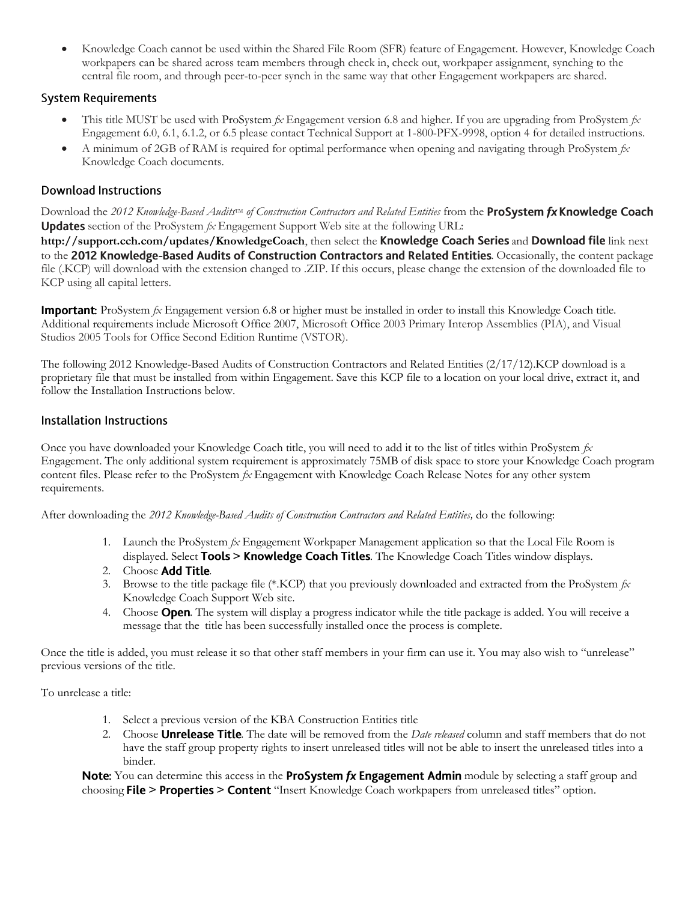Knowledge Coach cannot be used within the Shared File Room (SFR) feature of Engagement. However, Knowledge Coach workpapers can be shared across team members through check in, check out, workpaper assignment, synching to the central file room, and through peer-to-peer synch in the same way that other Engagement workpapers are shared.

# **System Requirements**

- This title MUST be used with ProSystem *fx* Engagement version 6.8 and higher. If you are upgrading from ProSystem *fx*  Engagement 6.0, 6.1, 6.1.2, or 6.5 please contact Technical Support at 1-800-PFX-9998, option 4 for detailed instructions.
- A minimum of 2GB of RAM is required for optimal performance when opening and navigating through ProSystem *fx*  Knowledge Coach documents.

# **Download Instructions**

Download the 2012 *Knowledge-Based Audits<sup>TM</sup> of Construction Contractors and Related Entities* from the **ProSystem fx Knowledge Coach Updates** section of the ProSystem  $f_X$  Engagement Support Web site at the following URL:

http://support.cch.com/updates/KnowledgeCoach, then select the Knowledge Coach Series and Download file link next to the 2012 Knowledge-Based Audits of Construction Contractors and Related Entities. Occasionally, the content package file (.KCP) will download with the extension changed to .ZIP. If this occurs, please change the extension of the downloaded file to KCP using all capital letters.

**Important:** ProSystem  $f_X$  Engagement version 6.8 or higher must be installed in order to install this Knowledge Coach title. Additional requirements include Microsoft Office 2007, Microsoft Office 2003 Primary Interop Assemblies (PIA), and Visual Studios 2005 Tools for Office Second Edition Runtime (VSTOR).

The following 2012 Knowledge-Based Audits of Construction Contractors and Related Entities (2/17/12).KCP download is a proprietary file that must be installed from within Engagement. Save this KCP file to a location on your local drive, extract it, and follow the Installation Instructions below.

#### Installation Instructions

Once you have downloaded your Knowledge Coach title, you will need to add it to the list of titles within ProSystem *fx* Engagement. The only additional system requirement is approximately 75MB of disk space to store your Knowledge Coach program content files. Please refer to the ProSystem *fx* Engagement with Knowledge Coach Release Notes for any other system requirements.

After downloading the *2012 Knowledge-Based Audits of Construction Contractors and Related Entities,* do the following:

- 1. Launch the ProSystem *fx* Engagement Workpaper Management application so that the Local File Room is displayed. Select Tools > Knowledge Coach Titles. The Knowledge Coach Titles window displays.
- 2. Choose Add Title.
- 3. Browse to the title package file (\*.KCP) that you previously downloaded and extracted from the ProSystem *fx* Knowledge Coach Support Web site.
- 4. Choose **Open**. The system will display a progress indicator while the title package is added. You will receive a message that the title has been successfully installed once the process is complete.

Once the title is added, you must release it so that other staff members in your firm can use it. You may also wish to "unrelease" previous versions of the title.

To unrelease a title:

- 1. Select a previous version of the KBA Construction Entities title
- 2. Choose **Unrelease Title**. The date will be removed from the *Date released* column and staff members that do not have the staff group property rights to insert unreleased titles will not be able to insert the unreleased titles into a binder.

Note: You can determine this access in the ProSystem fx Engagement Admin module by selecting a staff group and choosing **File > Properties > Content** "Insert Knowledge Coach workpapers from unreleased titles" option.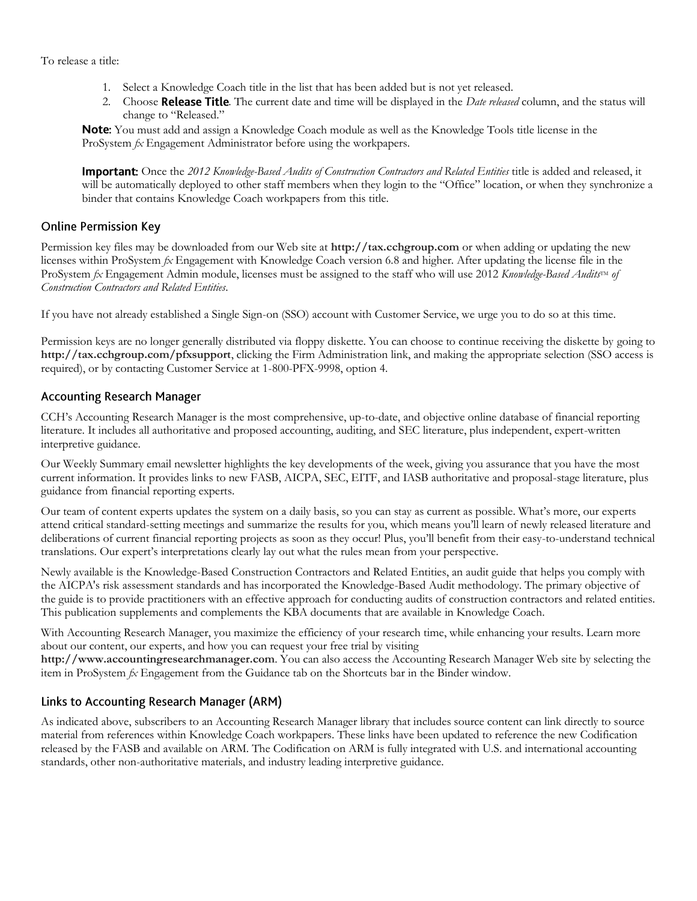To release a title:

- 1. Select a Knowledge Coach title in the list that has been added but is not yet released.
- 2. Choose **Release Title**. The current date and time will be displayed in the *Date released* column, and the status will change to "Released."

Note: You must add and assign a Knowledge Coach module as well as the Knowledge Tools title license in the ProSystem *fx* Engagement Administrator before using the workpapers.

**Important:** Once the 2012 *Knowledge-Based Audits of Construction Contractors and Related Entities* title is added and released, it will be automatically deployed to other staff members when they login to the "Office" location, or when they synchronize a binder that contains Knowledge Coach workpapers from this title.

### **Online Permission Key**

Permission key files may be downloaded from our Web site at **http://tax.cchgroup.com** or when adding or updating the new licenses within ProSystem *fx* Engagement with Knowledge Coach version 6.8 and higher. After updating the license file in the ProSystem *fx* Engagement Admin module, licenses must be assigned to the staff who will use 2012 *Knowledge-Based Audits*™ of *Construction Contractors and Related Entities*.

If you have not already established a Single Sign-on (SSO) account with Customer Service, we urge you to do so at this time.

Permission keys are no longer generally distributed via floppy diskette. You can choose to continue receiving the diskette by going to **http://tax.cchgroup.com/pfxsupport**, clicking the Firm Administration link, and making the appropriate selection (SSO access is required), or by contacting Customer Service at 1-800-PFX-9998, option 4.

### **Accounting Research Manager**

CCH's Accounting Research Manager is the most comprehensive, up-to-date, and objective online database of financial reporting literature. It includes all authoritative and proposed accounting, auditing, and SEC literature, plus independent, expert-written interpretive guidance.

Our Weekly Summary email newsletter highlights the key developments of the week, giving you assurance that you have the most current information. It provides links to new FASB, AICPA, SEC, EITF, and IASB authoritative and proposal-stage literature, plus guidance from financial reporting experts.

Our team of content experts updates the system on a daily basis, so you can stay as current as possible. What's more, our experts attend critical standard-setting meetings and summarize the results for you, which means you'll learn of newly released literature and deliberations of current financial reporting projects as soon as they occur! Plus, you'll benefit from their easy-to-understand technical translations. Our expert's interpretations clearly lay out what the rules mean from your perspective.

Newly available is the Knowledge-Based Construction Contractors and Related Entities, an audit guide that helps you comply with the AICPA's risk assessment standards and has incorporated the Knowledge-Based Audit methodology. The primary objective of the guide is to provide practitioners with an effective approach for conducting audits of construction contractors and related entities. This publication supplements and complements the KBA documents that are available in Knowledge Coach.

With Accounting Research Manager, you maximize the efficiency of your research time, while enhancing your results. Learn more about our content, our experts, and how you can request your free trial by visiting

**http://www.accountingresearchmanager.com**. You can also access the Accounting Research Manager Web site by selecting the item in ProSystem *fx* Engagement from the Guidance tab on the Shortcuts bar in the Binder window.

# Links to Accounting Research Manager (ARM)

As indicated above, subscribers to an Accounting Research Manager library that includes source content can link directly to source material from references within Knowledge Coach workpapers. These links have been updated to reference the new Codification released by the FASB and available on ARM. The Codification on ARM is fully integrated with U.S. and international accounting standards, other non-authoritative materials, and industry leading interpretive guidance.